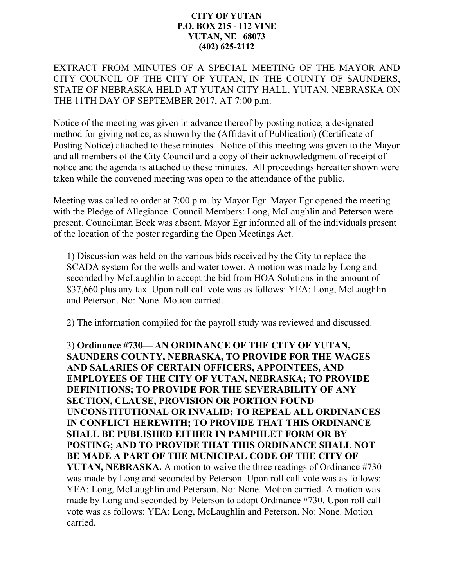## **CITY OF YUTAN P.O. BOX 215 - 112 VINE YUTAN, NE 68073 (402) 625-2112**

EXTRACT FROM MINUTES OF A SPECIAL MEETING OF THE MAYOR AND CITY COUNCIL OF THE CITY OF YUTAN, IN THE COUNTY OF SAUNDERS, STATE OF NEBRASKA HELD AT YUTAN CITY HALL, YUTAN, NEBRASKA ON THE 11TH DAY OF SEPTEMBER 2017, AT 7:00 p.m.

Notice of the meeting was given in advance thereof by posting notice, a designated method for giving notice, as shown by the (Affidavit of Publication) (Certificate of Posting Notice) attached to these minutes. Notice of this meeting was given to the Mayor and all members of the City Council and a copy of their acknowledgment of receipt of notice and the agenda is attached to these minutes. All proceedings hereafter shown were taken while the convened meeting was open to the attendance of the public.

Meeting was called to order at 7:00 p.m. by Mayor Egr. Mayor Egr opened the meeting with the Pledge of Allegiance. Council Members: Long, McLaughlin and Peterson were present. Councilman Beck was absent. Mayor Egr informed all of the individuals present of the location of the poster regarding the Open Meetings Act.

1) Discussion was held on the various bids received by the City to replace the SCADA system for the wells and water tower. A motion was made by Long and seconded by McLaughlin to accept the bid from HOA Solutions in the amount of \$37,660 plus any tax. Upon roll call vote was as follows: YEA: Long, McLaughlin and Peterson. No: None. Motion carried.

2) The information compiled for the payroll study was reviewed and discussed.

3) **Ordinance #730 AN ORDINANCE OF THE CITY OF YUTAN, SAUNDERS COUNTY, NEBRASKA, TO PROVIDE FOR THE WAGES AND SALARIES OF CERTAIN OFFICERS, APPOINTEES, AND EMPLOYEES OF THE CITY OF YUTAN, NEBRASKA; TO PROVIDE DEFINITIONS; TO PROVIDE FOR THE SEVERABILITY OF ANY SECTION, CLAUSE, PROVISION OR PORTION FOUND UNCONSTITUTIONAL OR INVALID; TO REPEAL ALL ORDINANCES IN CONFLICT HEREWITH; TO PROVIDE THAT THIS ORDINANCE SHALL BE PUBLISHED EITHER IN PAMPHLET FORM OR BY POSTING; AND TO PROVIDE THAT THIS ORDINANCE SHALL NOT BE MADE A PART OF THE MUNICIPAL CODE OF THE CITY OF YUTAN, NEBRASKA.** A motion to waive the three readings of Ordinance #730 was made by Long and seconded by Peterson. Upon roll call vote was as follows: YEA: Long, McLaughlin and Peterson. No: None. Motion carried. A motion was made by Long and seconded by Peterson to adopt Ordinance #730. Upon roll call vote was as follows: YEA: Long, McLaughlin and Peterson. No: None. Motion carried.